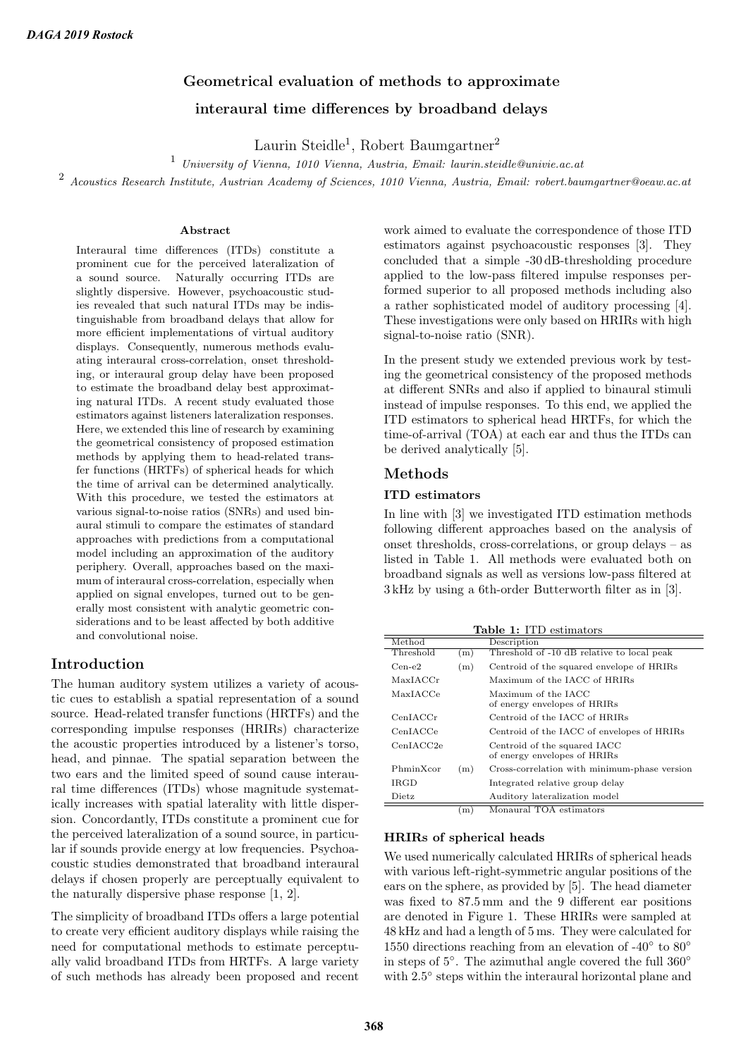# Geometrical evaluation of methods to approximate interaural time differences by broadband delays

Laurin Steidle<sup>1</sup>, Robert Baumgartner<sup>2</sup>

<sup>1</sup> University of Vienna, 1010 Vienna, Austria, Email: laurin.steidle@univie.ac.at

<sup>2</sup> Acoustics Research Institute, Austrian Academy of Sciences, 1010 Vienna, Austria, Email: robert.baumgartner@oeaw.ac.at

#### Abstract

Interaural time differences (ITDs) constitute a prominent cue for the perceived lateralization of a sound source. Naturally occurring ITDs are slightly dispersive. However, psychoacoustic studies revealed that such natural ITDs may be indistinguishable from broadband delays that allow for more efficient implementations of virtual auditory displays. Consequently, numerous methods evaluating interaural cross-correlation, onset thresholding, or interaural group delay have been proposed to estimate the broadband delay best approximating natural ITDs. A recent study evaluated those estimators against listeners lateralization responses. Here, we extended this line of research by examining the geometrical consistency of proposed estimation methods by applying them to head-related transfer functions (HRTFs) of spherical heads for which the time of arrival can be determined analytically. With this procedure, we tested the estimators at various signal-to-noise ratios (SNRs) and used binaural stimuli to compare the estimates of standard approaches with predictions from a computational model including an approximation of the auditory periphery. Overall, approaches based on the maximum of interaural cross-correlation, especially when applied on signal envelopes, turned out to be generally most consistent with analytic geometric considerations and to be least affected by both additive and convolutional noise.

# Introduction

The human auditory system utilizes a variety of acoustic cues to establish a spatial representation of a sound source. Head-related transfer functions (HRTFs) and the corresponding impulse responses (HRIRs) characterize the acoustic properties introduced by a listener's torso, head, and pinnae. The spatial separation between the two ears and the limited speed of sound cause interaural time differences (ITDs) whose magnitude systematically increases with spatial laterality with little dispersion. Concordantly, ITDs constitute a prominent cue for the perceived lateralization of a sound source, in particular if sounds provide energy at low frequencies. Psychoacoustic studies demonstrated that broadband interaural delays if chosen properly are perceptually equivalent to the naturally dispersive phase response [1, 2].

The simplicity of broadband ITDs offers a large potential to create very efficient auditory displays while raising the need for computational methods to estimate perceptually valid broadband ITDs from HRTFs. A large variety of such methods has already been proposed and recent work aimed to evaluate the correspondence of those ITD estimators against psychoacoustic responses [3]. They concluded that a simple -30 dB-thresholding procedure applied to the low-pass filtered impulse responses performed superior to all proposed methods including also a rather sophisticated model of auditory processing [4]. These investigations were only based on HRIRs with high signal-to-noise ratio (SNR).

In the present study we extended previous work by testing the geometrical consistency of the proposed methods at different SNRs and also if applied to binaural stimuli instead of impulse responses. To this end, we applied the ITD estimators to spherical head HRTFs, for which the time-of-arrival (TOA) at each ear and thus the ITDs can be derived analytically [5].

## Methods

#### ITD estimators

In line with [3] we investigated ITD estimation methods following different approaches based on the analysis of onset thresholds, cross-correlations, or group delays – as listed in Table 1. All methods were evaluated both on broadband signals as well as versions low-pass filtered at 3 kHz by using a 6th-order Butterworth filter as in [3].

|  | <b>Table 1:</b> ITD estimators |
|--|--------------------------------|
|  |                                |
|  |                                |

| Method      |     | Description                                                  |  |
|-------------|-----|--------------------------------------------------------------|--|
| Threshold   | (m) | Threshold of -10 dB relative to local peak                   |  |
| $Cen-e2$    | (m) | Centroid of the squared envelope of HRIRs                    |  |
| MaxIACCr    |     | Maximum of the IACC of HRIRs                                 |  |
| MaxIACCe    |     | Maximum of the IACC<br>of energy envelopes of HRIRs          |  |
| CenIACCr    |     | Centroid of the LACC of HRIRs                                |  |
| CenIACCe    |     | Centroid of the IACC of envelopes of HRIRs                   |  |
| CenIACC2e   |     | Centroid of the squared IACC<br>of energy envelopes of HRIRs |  |
| PhminXcor   | (m) | Cross-correlation with minimum-phase version                 |  |
| <b>IRGD</b> |     | Integrated relative group delay                              |  |
| Dietz       |     | Auditory lateralization model                                |  |
|             | m)  | Monaural TOA estimators                                      |  |

#### HRIRs of spherical heads

We used numerically calculated HRIRs of spherical heads with various left-right-symmetric angular positions of the ears on the sphere, as provided by [5]. The head diameter was fixed to 87.5 mm and the 9 different ear positions are denoted in Figure 1. These HRIRs were sampled at 48 kHz and had a length of 5 ms. They were calculated for 1550 directions reaching from an elevation of -40 $\degree$  to 80 $\degree$ in steps of 5◦ . The azimuthal angle covered the full 360◦ with 2.5° steps within the interaural horizontal plane and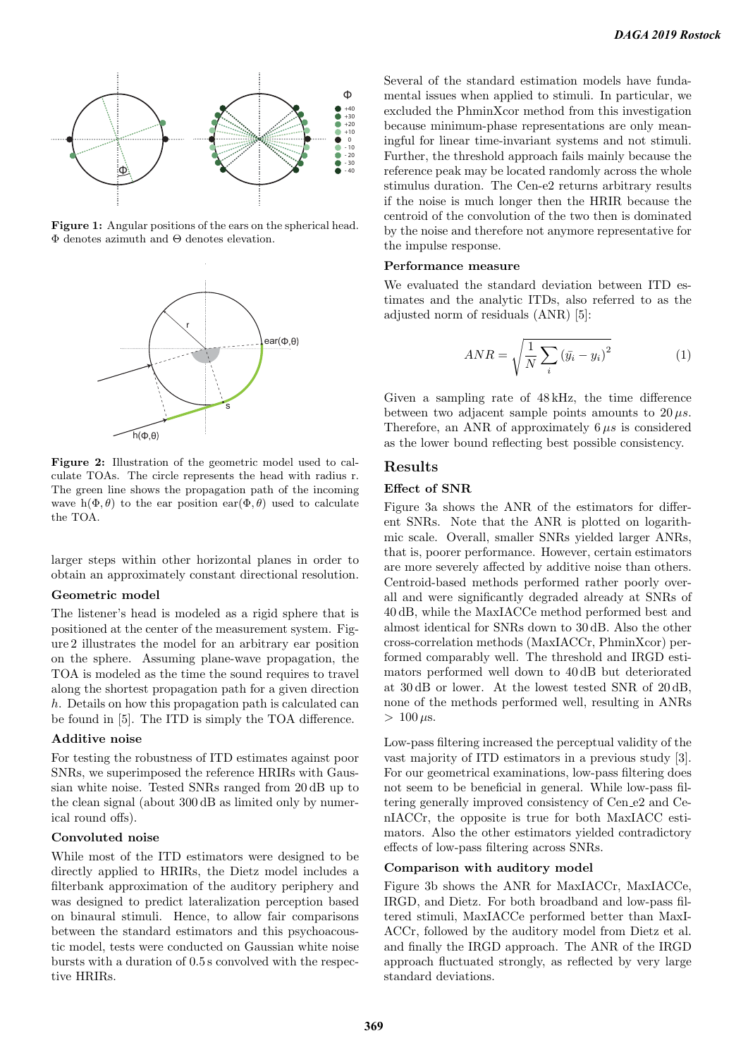

Figure 1: Angular positions of the ears on the spherical head. Φ denotes azimuth and Θ denotes elevation.



Figure 2: Illustration of the geometric model used to calculate TOAs. The circle represents the head with radius r. The green line shows the propagation path of the incoming wave h( $\Phi$ ,  $\theta$ ) to the ear position ear( $\Phi$ ,  $\theta$ ) used to calculate the TOA.

larger steps within other horizontal planes in order to obtain an approximately constant directional resolution.

### Geometric model

The listener's head is modeled as a rigid sphere that is positioned at the center of the measurement system. Figure 2 illustrates the model for an arbitrary ear position on the sphere. Assuming plane-wave propagation, the TOA is modeled as the time the sound requires to travel along the shortest propagation path for a given direction h. Details on how this propagation path is calculated can be found in [5]. The ITD is simply the TOA difference.

### Additive noise

For testing the robustness of ITD estimates against poor SNRs, we superimposed the reference HRIRs with Gaussian white noise. Tested SNRs ranged from 20 dB up to the clean signal (about 300 dB as limited only by numerical round offs).

#### Convoluted noise

While most of the ITD estimators were designed to be directly applied to HRIRs, the Dietz model includes a filterbank approximation of the auditory periphery and was designed to predict lateralization perception based on binaural stimuli. Hence, to allow fair comparisons between the standard estimators and this psychoacoustic model, tests were conducted on Gaussian white noise bursts with a duration of 0.5 s convolved with the respective HRIRs.

Several of the standard estimation models have fundamental issues when applied to stimuli. In particular, we excluded the PhminXcor method from this investigation because minimum-phase representations are only meaningful for linear time-invariant systems and not stimuli. Further, the threshold approach fails mainly because the reference peak may be located randomly across the whole stimulus duration. The Cen-e2 returns arbitrary results if the noise is much longer then the HRIR because the centroid of the convolution of the two then is dominated by the noise and therefore not anymore representative for the impulse response.

## Performance measure

We evaluated the standard deviation between ITD estimates and the analytic ITDs, also referred to as the adjusted norm of residuals (ANR) [5]:

$$
ANR = \sqrt{\frac{1}{N} \sum_{i} \left(\bar{y}_i - y_i\right)^2} \tag{1}
$$

Given a sampling rate of 48 kHz, the time difference between two adjacent sample points amounts to  $20 \mu s$ . Therefore, an ANR of approximately  $6 \mu s$  is considered as the lower bound reflecting best possible consistency.

## Results

#### Effect of SNR

Figure 3a shows the ANR of the estimators for different SNRs. Note that the ANR is plotted on logarithmic scale. Overall, smaller SNRs yielded larger ANRs, that is, poorer performance. However, certain estimators are more severely affected by additive noise than others. Centroid-based methods performed rather poorly overall and were significantly degraded already at SNRs of 40 dB, while the MaxIACCe method performed best and almost identical for SNRs down to 30 dB. Also the other cross-correlation methods (MaxIACCr, PhminXcor) performed comparably well. The threshold and IRGD estimators performed well down to 40 dB but deteriorated at 30 dB or lower. At the lowest tested SNR of 20 dB, none of the methods performed well, resulting in ANRs  $> 100 \,\mu s$ .

Low-pass filtering increased the perceptual validity of the vast majority of ITD estimators in a previous study [3]. For our geometrical examinations, low-pass filtering does not seem to be beneficial in general. While low-pass filtering generally improved consistency of Cen\_e2 and CenIACCr, the opposite is true for both MaxIACC estimators. Also the other estimators yielded contradictory effects of low-pass filtering across SNRs.

#### Comparison with auditory model

Figure 3b shows the ANR for MaxIACCr, MaxIACCe, IRGD, and Dietz. For both broadband and low-pass filtered stimuli, MaxIACCe performed better than MaxI-ACCr, followed by the auditory model from Dietz et al. and finally the IRGD approach. The ANR of the IRGD approach fluctuated strongly, as reflected by very large standard deviations.